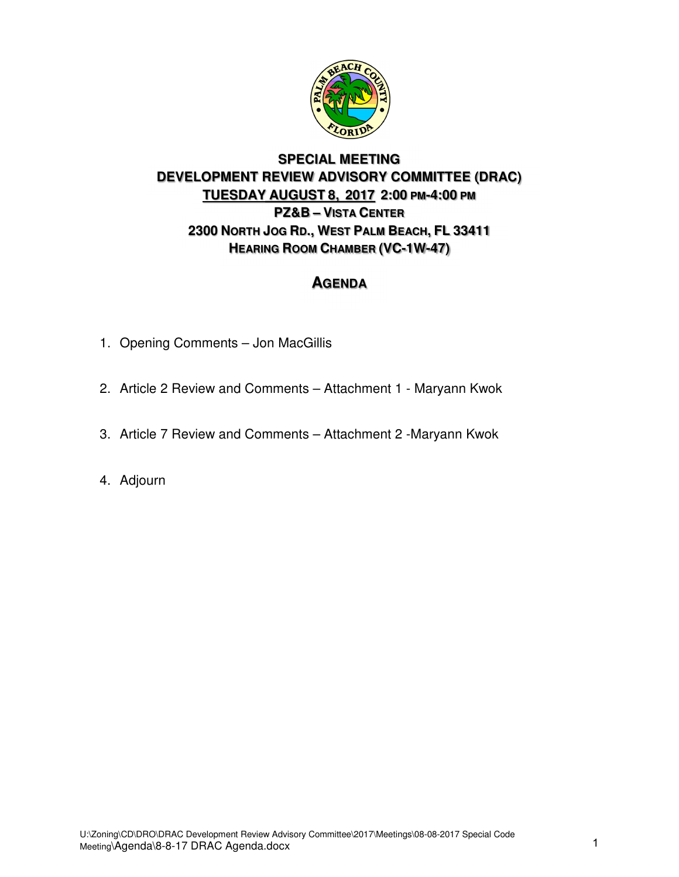

# **SPECIAL MEETING DEVELOPMENT REVIEW ADVISORY COMMITTEE (DRAC) TUESDAY AUGUST 8, 2017 2:00 PM-4:00 PM PZ&B – VISTA CENTER 2300 NORTH JOG RD., WEST PALM BEACH, FL 33411 HEARING ROOM CHAMBER (VC-1W-47)**

# **AGENDA**

- 1. Opening Comments Jon MacGillis
- 2. Article 2 Review and Comments Attachment 1 Maryann Kwok
- 3. Article 7 Review and Comments Attachment 2 -Maryann Kwok
- 4. Adjourn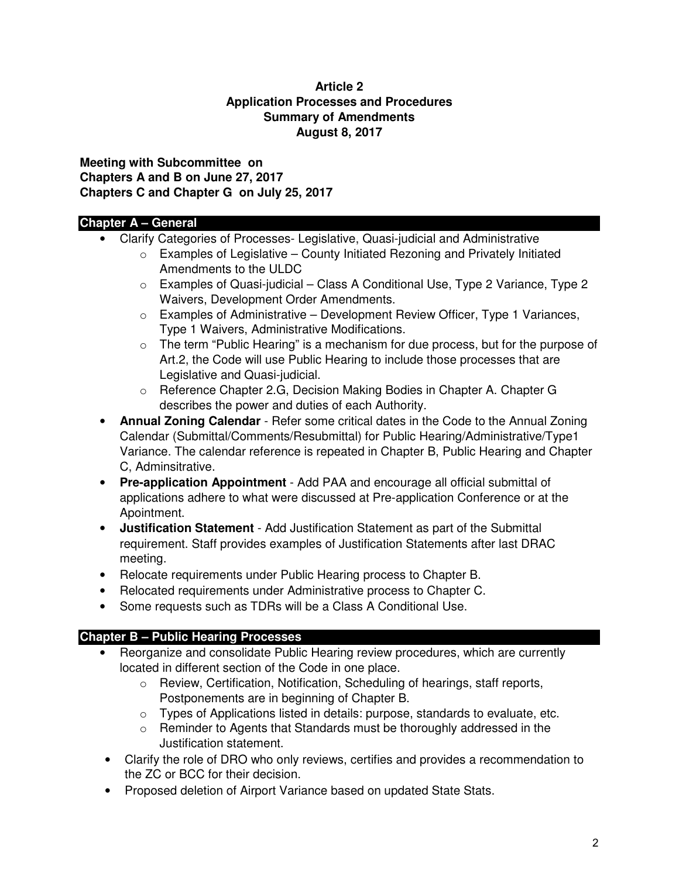#### **Article 2 Application Processes and Procedures Summary of Amendments August 8, 2017**

**Meeting with Subcommittee on Chapters A and B on June 27, 2017 Chapters C and Chapter G on July 25, 2017** 

# **Chapter A – General**

- Clarify Categories of Processes- Legislative, Quasi-judicial and Administrative
	- $\circ$  Examples of Legislative County Initiated Rezoning and Privately Initiated Amendments to the ULDC
	- o Examples of Quasi-judicial Class A Conditional Use, Type 2 Variance, Type 2 Waivers, Development Order Amendments.
	- $\circ$  Examples of Administrative Development Review Officer, Type 1 Variances, Type 1 Waivers, Administrative Modifications.
	- $\circ$  The term "Public Hearing" is a mechanism for due process, but for the purpose of Art.2, the Code will use Public Hearing to include those processes that are Legislative and Quasi-judicial.
	- o Reference Chapter 2.G, Decision Making Bodies in Chapter A. Chapter G describes the power and duties of each Authority.
- **Annual Zoning Calendar** Refer some critical dates in the Code to the Annual Zoning Calendar (Submittal/Comments/Resubmittal) for Public Hearing/Administrative/Type1 Variance. The calendar reference is repeated in Chapter B, Public Hearing and Chapter C, Adminsitrative.
- **Pre-application Appointment** Add PAA and encourage all official submittal of applications adhere to what were discussed at Pre-application Conference or at the Apointment.
- **Justification Statement** Add Justification Statement as part of the Submittal requirement. Staff provides examples of Justification Statements after last DRAC meeting.
- Relocate requirements under Public Hearing process to Chapter B.
- Relocated requirements under Administrative process to Chapter C.
- Some requests such as TDRs will be a Class A Conditional Use.

# **Chapter B – Public Hearing Processes**

- Reorganize and consolidate Public Hearing review procedures, which are currently located in different section of the Code in one place.
	- o Review, Certification, Notification, Scheduling of hearings, staff reports, Postponements are in beginning of Chapter B.
	- o Types of Applications listed in details: purpose, standards to evaluate, etc.
	- o Reminder to Agents that Standards must be thoroughly addressed in the Justification statement.
- Clarify the role of DRO who only reviews, certifies and provides a recommendation to the ZC or BCC for their decision.
- Proposed deletion of Airport Variance based on updated State Stats.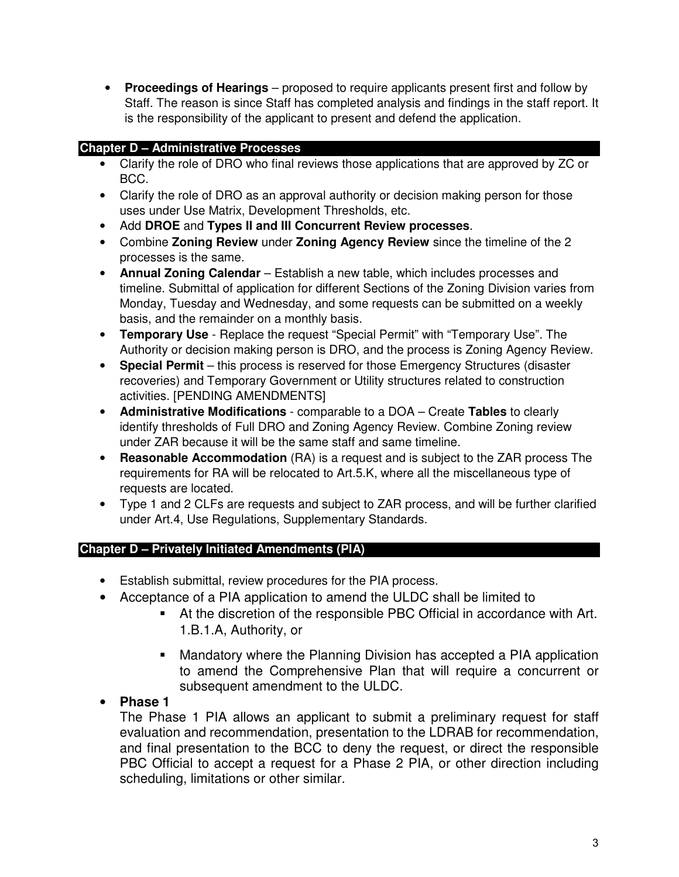• **Proceedings of Hearings** – proposed to require applicants present first and follow by Staff. The reason is since Staff has completed analysis and findings in the staff report. It is the responsibility of the applicant to present and defend the application.

# **Chapter D – Administrative Processes**

- Clarify the role of DRO who final reviews those applications that are approved by ZC or BCC.
- Clarify the role of DRO as an approval authority or decision making person for those uses under Use Matrix, Development Thresholds, etc.
- Add **DROE** and **Types II and III Concurrent Review processes**.
- Combine **Zoning Review** under **Zoning Agency Review** since the timeline of the 2 processes is the same.
- **Annual Zoning Calendar** Establish a new table, which includes processes and timeline. Submittal of application for different Sections of the Zoning Division varies from Monday, Tuesday and Wednesday, and some requests can be submitted on a weekly basis, and the remainder on a monthly basis.
- **Temporary Use** Replace the request "Special Permit" with "Temporary Use". The Authority or decision making person is DRO, and the process is Zoning Agency Review.
- **Special Permit** this process is reserved for those Emergency Structures (disaster recoveries) and Temporary Government or Utility structures related to construction activities. [PENDING AMENDMENTS]
- **Administrative Modifications** comparable to a DOA Create **Tables** to clearly identify thresholds of Full DRO and Zoning Agency Review. Combine Zoning review under ZAR because it will be the same staff and same timeline.
- **Reasonable Accommodation** (RA) is a request and is subject to the ZAR process The requirements for RA will be relocated to Art.5.K, where all the miscellaneous type of requests are located.
- Type 1 and 2 CLFs are requests and subject to ZAR process, and will be further clarified under Art.4, Use Regulations, Supplementary Standards.

### **Chapter D – Privately Initiated Amendments (PIA)**

- Establish submittal, review procedures for the PIA process.
- Acceptance of a PIA application to amend the ULDC shall be limited to
	- At the discretion of the responsible PBC Official in accordance with Art. 1.B.1.A, Authority, or
	- **Mandatory where the Planning Division has accepted a PIA application** to amend the Comprehensive Plan that will require a concurrent or subsequent amendment to the ULDC.

# • **Phase 1**

The Phase 1 PIA allows an applicant to submit a preliminary request for staff evaluation and recommendation, presentation to the LDRAB for recommendation, and final presentation to the BCC to deny the request, or direct the responsible PBC Official to accept a request for a Phase 2 PIA, or other direction including scheduling, limitations or other similar.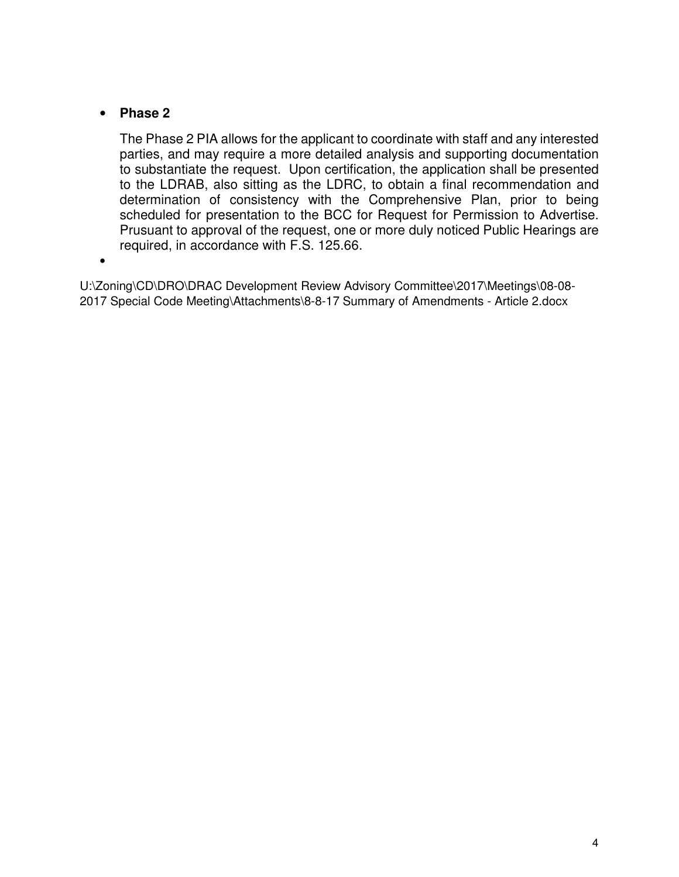# • **Phase 2**

The Phase 2 PIA allows for the applicant to coordinate with staff and any interested parties, and may require a more detailed analysis and supporting documentation to substantiate the request. Upon certification, the application shall be presented to the LDRAB, also sitting as the LDRC, to obtain a final recommendation and determination of consistency with the Comprehensive Plan, prior to being scheduled for presentation to the BCC for Request for Permission to Advertise. Prusuant to approval of the request, one or more duly noticed Public Hearings are required, in accordance with F.S. 125.66.

•

U:\Zoning\CD\DRO\DRAC Development Review Advisory Committee\2017\Meetings\08-08- 2017 Special Code Meeting\Attachments\8-8-17 Summary of Amendments - Article 2.docx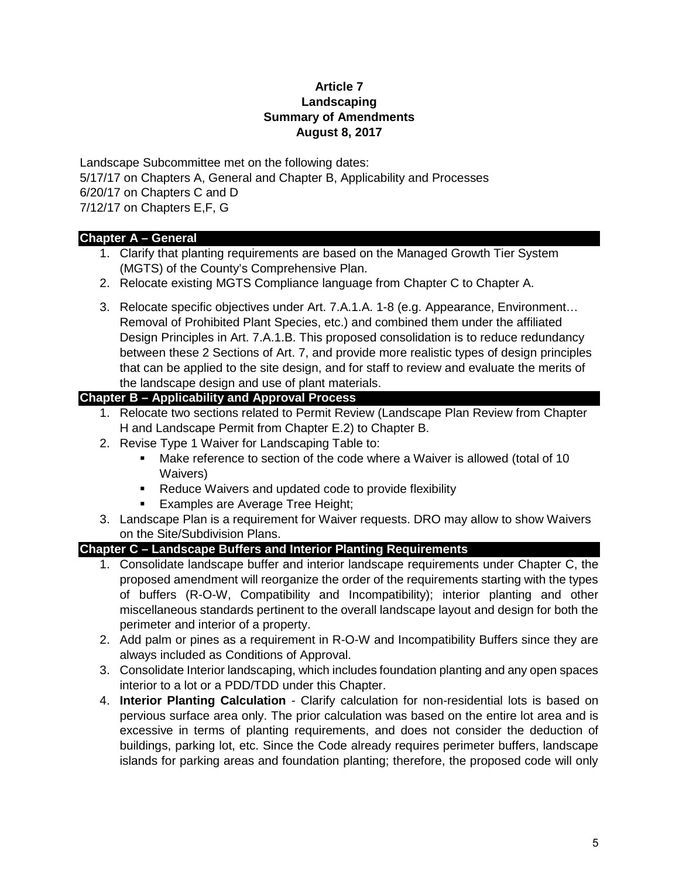#### **Article 7 Landscaping Summary of Amendments August 8, 2017**

Landscape Subcommittee met on the following dates: 5/17/17 on Chapters A, General and Chapter B, Applicability and Processes 6/20/17 on Chapters C and D 7/12/17 on Chapters E,F, G

#### **Chapter A – General**

- 1. Clarify that planting requirements are based on the Managed Growth Tier System (MGTS) of the County's Comprehensive Plan.
- 2. Relocate existing MGTS Compliance language from Chapter C to Chapter A.
- 3. Relocate specific objectives under Art. 7.A.1.A. 1-8 (e.g. Appearance, Environment… Removal of Prohibited Plant Species, etc.) and combined them under the affiliated Design Principles in Art. 7.A.1.B. This proposed consolidation is to reduce redundancy between these 2 Sections of Art. 7, and provide more realistic types of design principles that can be applied to the site design, and for staff to review and evaluate the merits of the landscape design and use of plant materials.

### **Chapter B – Applicability and Approval Process**

- 1. Relocate two sections related to Permit Review (Landscape Plan Review from Chapter H and Landscape Permit from Chapter E.2) to Chapter B.
- 2. Revise Type 1 Waiver for Landscaping Table to:
	- Make reference to section of the code where a Waiver is allowed (total of 10 Waivers)
	- Reduce Waivers and updated code to provide flexibility
	- Examples are Average Tree Height;
- 3. Landscape Plan is a requirement for Waiver requests. DRO may allow to show Waivers on the Site/Subdivision Plans.

### **Chapter C – Landscape Buffers and Interior Planting Requirements**

- 1. Consolidate landscape buffer and interior landscape requirements under Chapter C, the proposed amendment will reorganize the order of the requirements starting with the types of buffers (R-O-W, Compatibility and Incompatibility); interior planting and other miscellaneous standards pertinent to the overall landscape layout and design for both the perimeter and interior of a property.
- 2. Add palm or pines as a requirement in R-O-W and Incompatibility Buffers since they are always included as Conditions of Approval.
- 3. Consolidate Interior landscaping, which includes foundation planting and any open spaces interior to a lot or a PDD/TDD under this Chapter.
- 4. **Interior Planting Calculation** Clarify calculation for non-residential lots is based on pervious surface area only. The prior calculation was based on the entire lot area and is excessive in terms of planting requirements, and does not consider the deduction of buildings, parking lot, etc. Since the Code already requires perimeter buffers, landscape islands for parking areas and foundation planting; therefore, the proposed code will only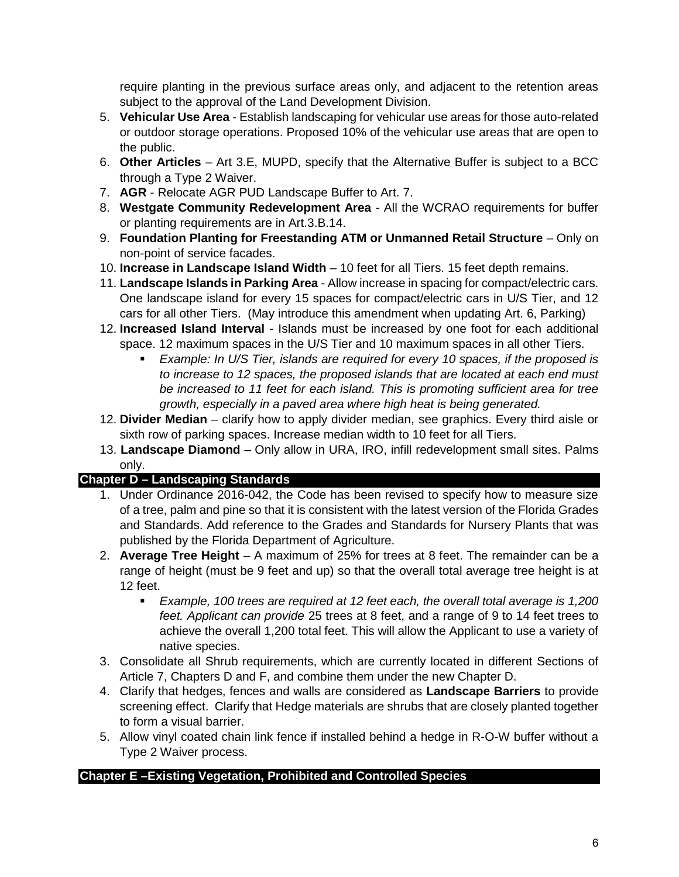require planting in the previous surface areas only, and adjacent to the retention areas subject to the approval of the Land Development Division.

- 5. **Vehicular Use Area** Establish landscaping for vehicular use areas for those auto-related or outdoor storage operations. Proposed 10% of the vehicular use areas that are open to the public.
- 6. **Other Articles** Art 3.E, MUPD, specify that the Alternative Buffer is subject to a BCC through a Type 2 Waiver.
- 7. **AGR** Relocate AGR PUD Landscape Buffer to Art. 7.
- 8. **Westgate Community Redevelopment Area** All the WCRAO requirements for buffer or planting requirements are in Art.3.B.14.
- 9. **Foundation Planting for Freestanding ATM or Unmanned Retail Structure** Only on non-point of service facades.
- 10. **Increase in Landscape Island Width** 10 feet for all Tiers. 15 feet depth remains.
- 11. **Landscape Islands in Parking Area** Allow increase in spacing for compact/electric cars. One landscape island for every 15 spaces for compact/electric cars in U/S Tier, and 12 cars for all other Tiers. (May introduce this amendment when updating Art. 6, Parking)
- 12. **Increased Island Interval** Islands must be increased by one foot for each additional space. 12 maximum spaces in the U/S Tier and 10 maximum spaces in all other Tiers.
	- *Example: In U/S Tier, islands are required for every 10 spaces, if the proposed is to increase to 12 spaces, the proposed islands that are located at each end must be increased to 11 feet for each island. This is promoting sufficient area for tree growth, especially in a paved area where high heat is being generated.*
- 12. **Divider Median** clarify how to apply divider median, see graphics. Every third aisle or sixth row of parking spaces. Increase median width to 10 feet for all Tiers.
- 13. **Landscape Diamond** Only allow in URA, IRO, infill redevelopment small sites. Palms only.

# **Chapter D – Landscaping Standards**

- 1. Under Ordinance 2016-042, the Code has been revised to specify how to measure size of a tree, palm and pine so that it is consistent with the latest version of the Florida Grades and Standards. Add reference to the Grades and Standards for Nursery Plants that was published by the Florida Department of Agriculture.
- 2. **Average Tree Height** A maximum of 25% for trees at 8 feet. The remainder can be a range of height (must be 9 feet and up) so that the overall total average tree height is at 12 feet.
	- *Example, 100 trees are required at 12 feet each, the overall total average is 1,200 feet. Applicant can provide* 25 trees at 8 feet, and a range of 9 to 14 feet trees to achieve the overall 1,200 total feet. This will allow the Applicant to use a variety of native species.
- 3. Consolidate all Shrub requirements, which are currently located in different Sections of Article 7, Chapters D and F, and combine them under the new Chapter D.
- 4. Clarify that hedges, fences and walls are considered as **Landscape Barriers** to provide screening effect. Clarify that Hedge materials are shrubs that are closely planted together to form a visual barrier.
- 5. Allow vinyl coated chain link fence if installed behind a hedge in R-O-W buffer without a Type 2 Waiver process.

### **Chapter E –Existing Vegetation, Prohibited and Controlled Species**